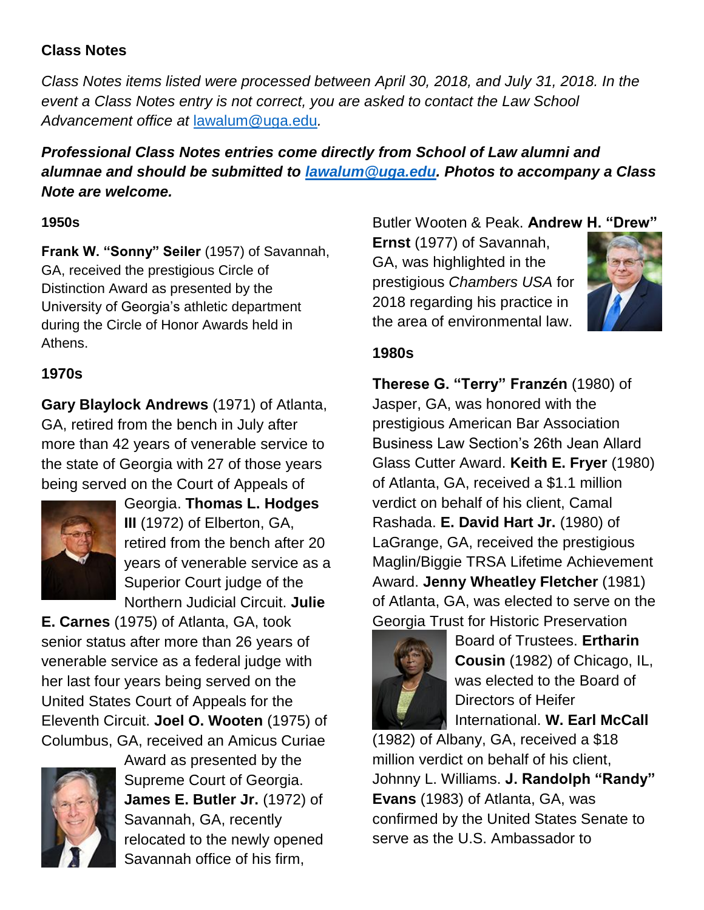## **Class Notes**

*Class Notes items listed were processed between April 30, 2018, and July 31, 2018. In the event a Class Notes entry is not correct, you are asked to contact the Law School Advancement office at* [lawalum@uga.edu](mailto:lawalum@uga.edu)*.*

# *Professional Class Notes entries come directly from School of Law alumni and alumnae and should be submitted to [lawalum@uga.edu.](mailto:lawalum@uga.edu) Photos to accompany a Class Note are welcome.*

### **1950s**

**Frank W. "Sonny" Seiler** (1957) of Savannah, GA, received the prestigious Circle of Distinction Award as presented by the University of Georgia's athletic department during the Circle of Honor Awards held in Athens.

## **1970s**

**Gary Blaylock Andrews** (1971) of Atlanta, GA, retired from the bench in July after more than 42 years of venerable service to the state of Georgia with 27 of those years being served on the Court of Appeals of



Georgia. **Thomas L. Hodges III** (1972) of Elberton, GA, retired from the bench after 20 years of venerable service as a Superior Court judge of the Northern Judicial Circuit. **Julie** 

**E. Carnes** (1975) of Atlanta, GA, took senior status after more than 26 years of venerable service as a federal judge with her last four years being served on the United States Court of Appeals for the Eleventh Circuit. **Joel O. Wooten** (1975) of Columbus, GA, received an Amicus Curiae



Award as presented by the Supreme Court of Georgia. **James E. Butler Jr.** (1972) of Savannah, GA, recently relocated to the newly opened Savannah office of his firm,

Butler Wooten & Peak. **Andrew H. "Drew"**

**Ernst** (1977) of Savannah, GA, was highlighted in the prestigious *Chambers USA* for 2018 regarding his practice in the area of environmental law.



### **1980s**

**Therese G. "Terry" Franzén** (1980) of Jasper, GA, was honored with the prestigious American Bar Association Business Law Section's 26th Jean Allard Glass Cutter Award. **Keith E. Fryer** (1980) of Atlanta, GA, received a \$1.1 million verdict on behalf of his client, Camal Rashada. **E. David Hart Jr.** (1980) of LaGrange, GA, received the prestigious Maglin/Biggie TRSA Lifetime Achievement Award. **Jenny Wheatley Fletcher** (1981) of Atlanta, GA, was elected to serve on the Georgia Trust for Historic Preservation



Board of Trustees. **Ertharin Cousin** (1982) of Chicago, IL, was elected to the Board of Directors of Heifer International. **W. Earl McCall**

(1982) of Albany, GA, received a \$18 million verdict on behalf of his client, Johnny L. Williams. **J. Randolph "Randy" Evans** (1983) of Atlanta, GA, was confirmed by the United States Senate to serve as the U.S. Ambassador to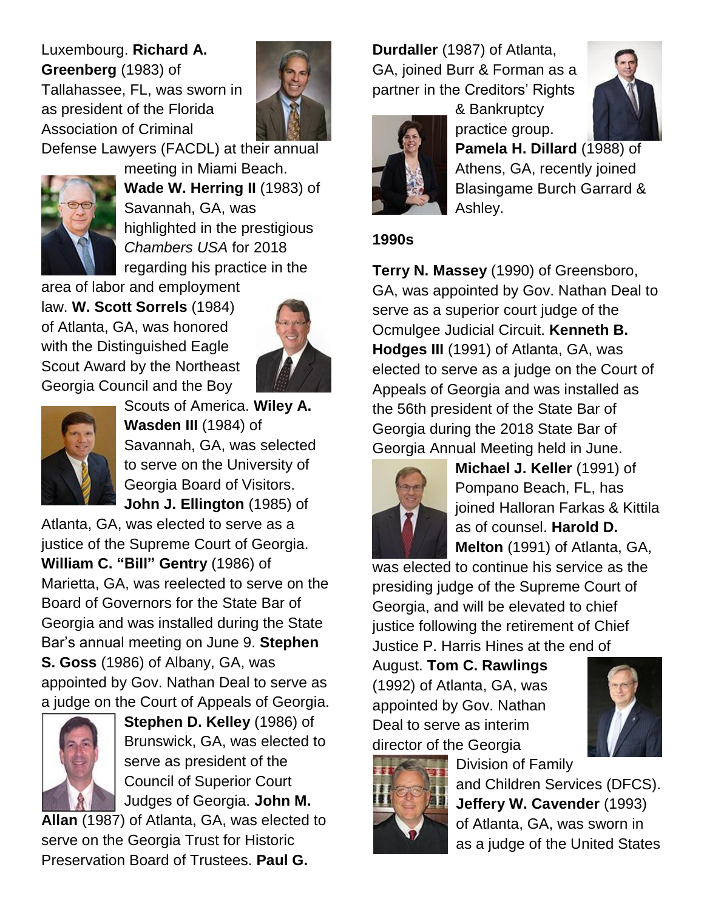Luxembourg. **Richard A. Greenberg** (1983) of Tallahassee, FL, was sworn in as president of the Florida Association of Criminal



Defense Lawyers (FACDL) at their annual



meeting in Miami Beach. **Wade W. Herring II** (1983) of Savannah, GA, was highlighted in the prestigious *Chambers USA* for 2018 regarding his practice in the

area of labor and employment law. **W. Scott Sorrels** (1984) of Atlanta, GA, was honored with the Distinguished Eagle Scout Award by the Northeast Georgia Council and the Boy





Scouts of America. **Wiley A. Wasden III** (1984) of Savannah, GA, was selected to serve on the University of Georgia Board of Visitors. **John J. Ellington** (1985) of

Atlanta, GA, was elected to serve as a justice of the Supreme Court of Georgia. **William C. "Bill" Gentry** (1986) of Marietta, GA, was reelected to serve on the Board of Governors for the State Bar of Georgia and was installed during the State Bar's annual meeting on June 9. **Stephen S. Goss** (1986) of Albany, GA, was appointed by Gov. Nathan Deal to serve as a judge on the Court of Appeals of Georgia.



**Stephen D. Kelley** (1986) of Brunswick, GA, was elected to serve as president of the Council of Superior Court Judges of Georgia. **John M.** 

**Allan** (1987) of Atlanta, GA, was elected to serve on the Georgia Trust for Historic Preservation Board of Trustees. **Paul G.** 

**Durdaller** (1987) of Atlanta, GA, joined Burr & Forman as a partner in the Creditors' Rights



& Bankruptcy practice group. **Pamela H. Dillard** (1988) of Athens, GA, recently joined Blasingame Burch Garrard & Ashley.

### **1990s**

**Terry N. Massey** (1990) of Greensboro, GA, was appointed by Gov. Nathan Deal to serve as a superior court judge of the Ocmulgee Judicial Circuit. **Kenneth B. Hodges III** (1991) of Atlanta, GA, was elected to serve as a judge on the Court of Appeals of Georgia and was installed as the 56th president of the State Bar of Georgia during the 2018 State Bar of Georgia Annual Meeting held in June.



**Michael J. Keller** (1991) of Pompano Beach, FL, has joined Halloran Farkas & Kittila as of counsel. **Harold D. Melton** (1991) of Atlanta, GA,

was elected to continue his service as the presiding judge of the Supreme Court of Georgia, and will be elevated to chief justice following the retirement of Chief Justice P. Harris Hines at the end of

August. **Tom C. Rawlings** (1992) of Atlanta, GA, was appointed by Gov. Nathan Deal to serve as interim director of the Georgia





Division of Family and Children Services (DFCS). **Jeffery W. Cavender** (1993) of Atlanta, GA, was sworn in as a judge of the United States

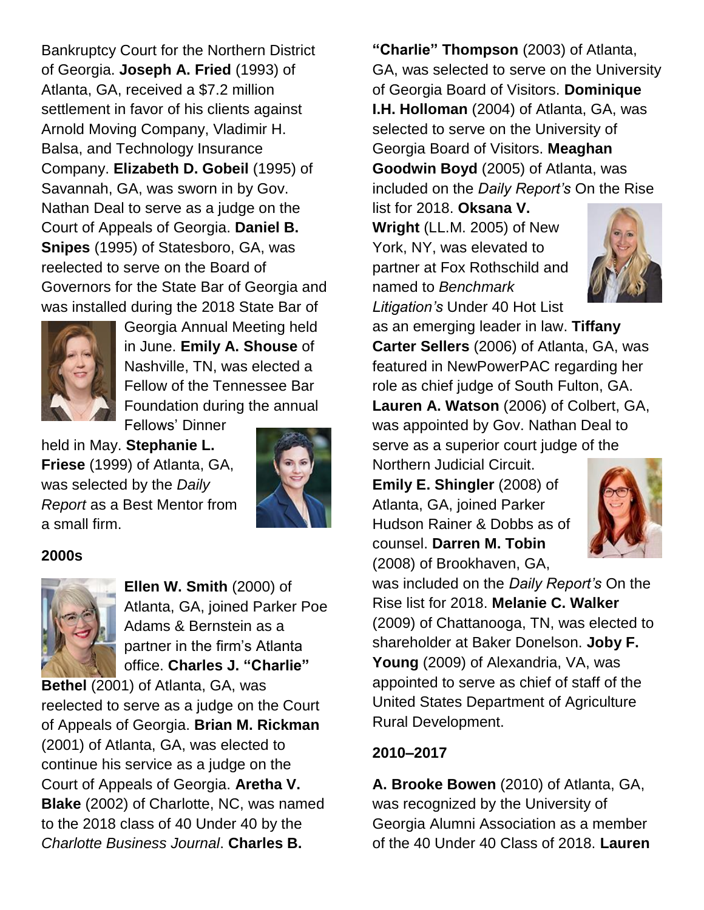Bankruptcy Court for the Northern District of Georgia. **Joseph A. Fried** (1993) of Atlanta, GA, received a \$7.2 million settlement in favor of his clients against Arnold Moving Company, Vladimir H. Balsa, and Technology Insurance Company. **Elizabeth D. Gobeil** (1995) of Savannah, GA, was sworn in by Gov. Nathan Deal to serve as a judge on the Court of Appeals of Georgia. **Daniel B. Snipes** (1995) of Statesboro, GA, was reelected to serve on the Board of Governors for the State Bar of Georgia and was installed during the 2018 State Bar of



Georgia Annual Meeting held in June. **Emily A. Shouse** of Nashville, TN, was elected a Fellow of the Tennessee Bar Foundation during the annual Fellows' Dinner

held in May. **Stephanie L. Friese** (1999) of Atlanta, GA, was selected by the *Daily Report* as a Best Mentor from a small firm.



### **2000s**



**Ellen W. Smith** (2000) of Atlanta, GA, joined Parker Poe Adams & Bernstein as a partner in the firm's Atlanta office. **Charles J. "Charlie"** 

**Bethel** (2001) of Atlanta, GA, was reelected to serve as a judge on the Court of Appeals of Georgia. **Brian M. Rickman**  (2001) of Atlanta, GA, was elected to continue his service as a judge on the Court of Appeals of Georgia. **Aretha V. Blake** (2002) of Charlotte, NC, was named to the 2018 class of 40 Under 40 by the *Charlotte Business Journal*. **Charles B.** 

**"Charlie" Thompson** (2003) of Atlanta, GA, was selected to serve on the University of Georgia Board of Visitors. **Dominique I.H. Holloman** (2004) of Atlanta, GA, was selected to serve on the University of Georgia Board of Visitors. **Meaghan Goodwin Boyd** (2005) of Atlanta, was included on the *Daily Report's* On the Rise

list for 2018. **Oksana V. Wright** (LL.M. 2005) of New York, NY, was elevated to partner at Fox Rothschild and named to *Benchmark Litigation's* Under 40 Hot List



as an emerging leader in law. **Tiffany Carter Sellers** (2006) of Atlanta, GA, was featured in NewPowerPAC regarding her role as chief judge of South Fulton, GA. **Lauren A. Watson** (2006) of Colbert, GA, was appointed by Gov. Nathan Deal to serve as a superior court judge of the Northern Judicial Circuit.

**Emily E. Shingler** (2008) of Atlanta, GA, joined Parker Hudson Rainer & Dobbs as of counsel. **Darren M. Tobin** (2008) of Brookhaven, GA,



was included on the *Daily Report's* On the Rise list for 2018. **Melanie C. Walker**  (2009) of Chattanooga, TN, was elected to shareholder at Baker Donelson. **Joby F. Young** (2009) of Alexandria, VA, was appointed to serve as chief of staff of the United States Department of Agriculture Rural Development.

# **2010–2017**

**A. Brooke Bowen** (2010) of Atlanta, GA, was recognized by the University of Georgia Alumni Association as a member of the 40 Under 40 Class of 2018. **Lauren**